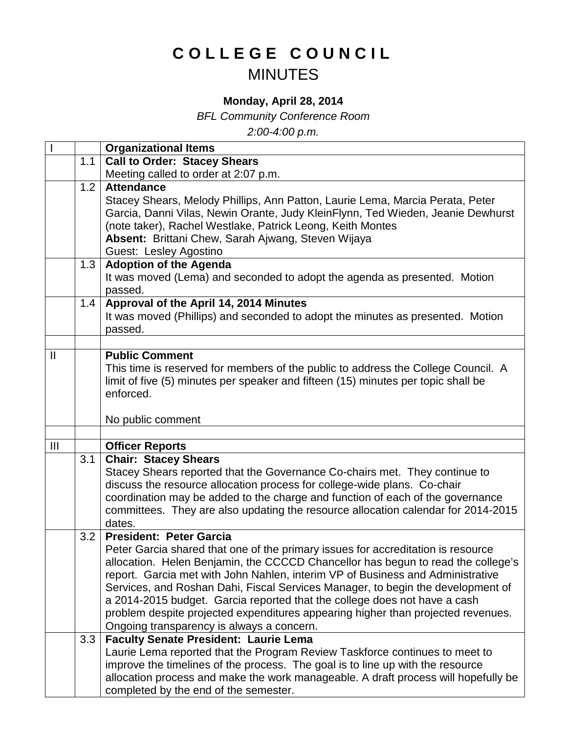## **COLLEGE COUNCIL** MINUTES

## **Monday, April 28, 2014**

*BFL Community Conference Room*

*2:00-4:00 p.m.*

|                |     | <b>Organizational Items</b>                                                                                                                                          |
|----------------|-----|----------------------------------------------------------------------------------------------------------------------------------------------------------------------|
|                | 1.1 | <b>Call to Order: Stacey Shears</b>                                                                                                                                  |
|                |     | Meeting called to order at 2:07 p.m.                                                                                                                                 |
|                | 1.2 | <b>Attendance</b>                                                                                                                                                    |
|                |     | Stacey Shears, Melody Phillips, Ann Patton, Laurie Lema, Marcia Perata, Peter                                                                                        |
|                |     | Garcia, Danni Vilas, Newin Orante, Judy KleinFlynn, Ted Wieden, Jeanie Dewhurst                                                                                      |
|                |     | (note taker), Rachel Westlake, Patrick Leong, Keith Montes                                                                                                           |
|                |     | Absent: Brittani Chew, Sarah Ajwang, Steven Wijaya                                                                                                                   |
|                |     | Guest: Lesley Agostino                                                                                                                                               |
|                | 1.3 | <b>Adoption of the Agenda</b>                                                                                                                                        |
|                |     | It was moved (Lema) and seconded to adopt the agenda as presented. Motion                                                                                            |
|                |     | passed.                                                                                                                                                              |
|                | 1.4 | Approval of the April 14, 2014 Minutes                                                                                                                               |
|                |     | It was moved (Phillips) and seconded to adopt the minutes as presented. Motion                                                                                       |
|                |     | passed.                                                                                                                                                              |
|                |     |                                                                                                                                                                      |
| $\mathbf{II}$  |     | <b>Public Comment</b>                                                                                                                                                |
|                |     | This time is reserved for members of the public to address the College Council. A                                                                                    |
|                |     | limit of five (5) minutes per speaker and fifteen (15) minutes per topic shall be                                                                                    |
|                |     | enforced.                                                                                                                                                            |
|                |     |                                                                                                                                                                      |
|                |     | No public comment                                                                                                                                                    |
|                |     |                                                                                                                                                                      |
| $\mathbf{III}$ | 3.1 | <b>Officer Reports</b>                                                                                                                                               |
|                |     | <b>Chair: Stacey Shears</b><br>Stacey Shears reported that the Governance Co-chairs met. They continue to                                                            |
|                |     | discuss the resource allocation process for college-wide plans. Co-chair                                                                                             |
|                |     |                                                                                                                                                                      |
|                |     |                                                                                                                                                                      |
|                |     | coordination may be added to the charge and function of each of the governance                                                                                       |
|                |     | committees. They are also updating the resource allocation calendar for 2014-2015                                                                                    |
|                |     | dates.                                                                                                                                                               |
|                | 3.2 | <b>President: Peter Garcia</b>                                                                                                                                       |
|                |     | Peter Garcia shared that one of the primary issues for accreditation is resource                                                                                     |
|                |     | allocation. Helen Benjamin, the CCCCD Chancellor has begun to read the college's                                                                                     |
|                |     | report. Garcia met with John Nahlen, interim VP of Business and Administrative                                                                                       |
|                |     | Services, and Roshan Dahi, Fiscal Services Manager, to begin the development of                                                                                      |
|                |     | a 2014-2015 budget. Garcia reported that the college does not have a cash                                                                                            |
|                |     | problem despite projected expenditures appearing higher than projected revenues.                                                                                     |
|                |     | Ongoing transparency is always a concern.                                                                                                                            |
|                | 3.3 | <b>Faculty Senate President: Laurie Lema</b>                                                                                                                         |
|                |     | Laurie Lema reported that the Program Review Taskforce continues to meet to                                                                                          |
|                |     | improve the timelines of the process. The goal is to line up with the resource<br>allocation process and make the work manageable. A draft process will hopefully be |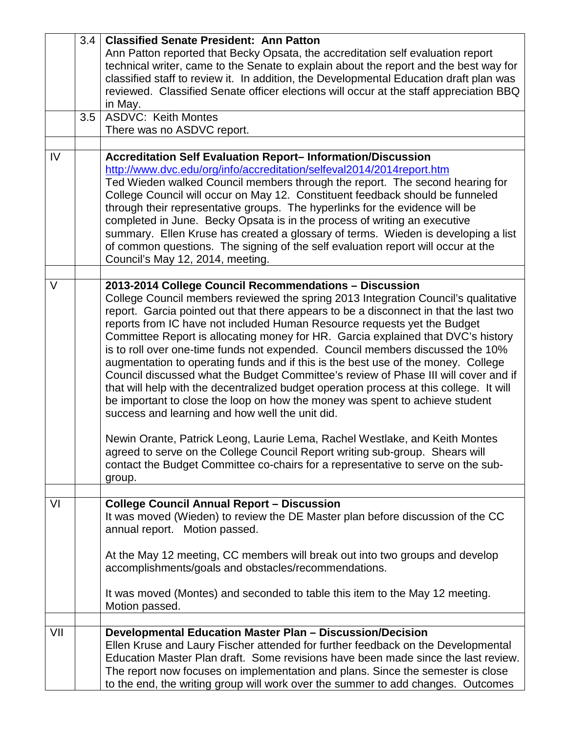|     | 3.4 | <b>Classified Senate President: Ann Patton</b>                                          |
|-----|-----|-----------------------------------------------------------------------------------------|
|     |     | Ann Patton reported that Becky Opsata, the accreditation self evaluation report         |
|     |     | technical writer, came to the Senate to explain about the report and the best way for   |
|     |     | classified staff to review it. In addition, the Developmental Education draft plan was  |
|     |     | reviewed. Classified Senate officer elections will occur at the staff appreciation BBQ  |
|     |     | in May.                                                                                 |
|     | 3.5 | <b>ASDVC: Keith Montes</b>                                                              |
|     |     | There was no ASDVC report.                                                              |
|     |     |                                                                                         |
| IV  |     | <b>Accreditation Self Evaluation Report-Information/Discussion</b>                      |
|     |     | http://www.dvc.edu/org/info/accreditation/selfeval2014/2014report.htm                   |
|     |     | Ted Wieden walked Council members through the report. The second hearing for            |
|     |     |                                                                                         |
|     |     | College Council will occur on May 12. Constituent feedback should be funneled           |
|     |     | through their representative groups. The hyperlinks for the evidence will be            |
|     |     | completed in June. Becky Opsata is in the process of writing an executive               |
|     |     | summary. Ellen Kruse has created a glossary of terms. Wieden is developing a list       |
|     |     | of common questions. The signing of the self evaluation report will occur at the        |
|     |     | Council's May 12, 2014, meeting.                                                        |
|     |     |                                                                                         |
| V   |     | 2013-2014 College Council Recommendations - Discussion                                  |
|     |     | College Council members reviewed the spring 2013 Integration Council's qualitative      |
|     |     | report. Garcia pointed out that there appears to be a disconnect in that the last two   |
|     |     | reports from IC have not included Human Resource requests yet the Budget                |
|     |     | Committee Report is allocating money for HR. Garcia explained that DVC's history        |
|     |     | is to roll over one-time funds not expended. Council members discussed the 10%          |
|     |     | augmentation to operating funds and if this is the best use of the money. College       |
|     |     | Council discussed what the Budget Committee's review of Phase III will cover and if     |
|     |     | that will help with the decentralized budget operation process at this college. It will |
|     |     | be important to close the loop on how the money was spent to achieve student            |
|     |     | success and learning and how well the unit did.                                         |
|     |     |                                                                                         |
|     |     | Newin Orante, Patrick Leong, Laurie Lema, Rachel Westlake, and Keith Montes             |
|     |     | agreed to serve on the College Council Report writing sub-group. Shears will            |
|     |     |                                                                                         |
|     |     | contact the Budget Committee co-chairs for a representative to serve on the sub-        |
|     |     | group.                                                                                  |
| VI  |     |                                                                                         |
|     |     | <b>College Council Annual Report - Discussion</b>                                       |
|     |     | It was moved (Wieden) to review the DE Master plan before discussion of the CC          |
|     |     | annual report. Motion passed.                                                           |
|     |     |                                                                                         |
|     |     | At the May 12 meeting, CC members will break out into two groups and develop            |
|     |     | accomplishments/goals and obstacles/recommendations.                                    |
|     |     |                                                                                         |
|     |     | It was moved (Montes) and seconded to table this item to the May 12 meeting.            |
|     |     | Motion passed.                                                                          |
|     |     |                                                                                         |
| VII |     | Developmental Education Master Plan - Discussion/Decision                               |
|     |     | Ellen Kruse and Laury Fischer attended for further feedback on the Developmental        |
|     |     | Education Master Plan draft. Some revisions have been made since the last review.       |
|     |     | The report now focuses on implementation and plans. Since the semester is close         |
|     |     | to the end, the writing group will work over the summer to add changes. Outcomes        |